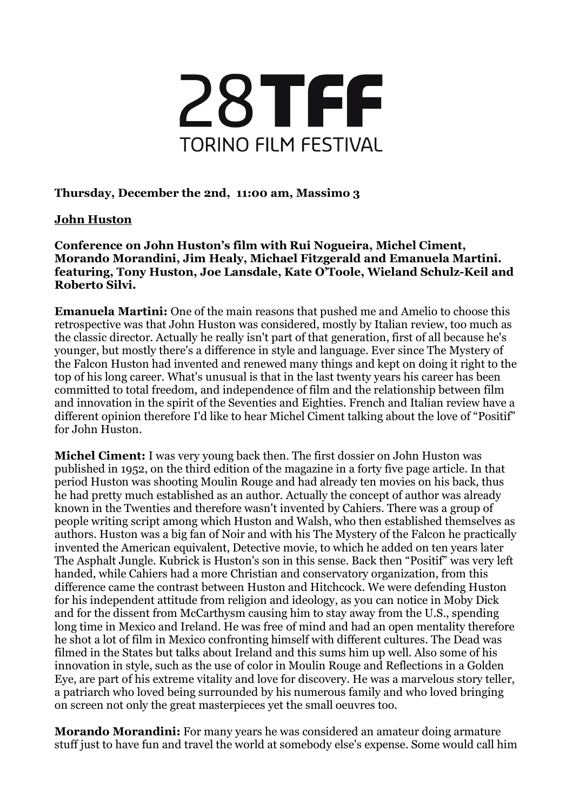

## **Thursday, December the 2nd, 11:00 am, Massimo 3**

## **John Huston**

**Conference on John Huston's film with Rui Nogueira, Michel Ciment, Morando Morandini, Jim Healy, Michael Fitzgerald and Emanuela Martini. featuring, Tony Huston, Joe Lansdale, Kate O'Toole, Wieland Schulz-Keil and Roberto Silvi.**

**Emanuela Martini:** One of the main reasons that pushed me and Amelio to choose this retrospective was that John Huston was considered, mostly by Italian review, too much as the classic director. Actually he really isn't part of that generation, first of all because he's younger, but mostly there's a difference in style and language. Ever since The Mystery of the Falcon Huston had invented and renewed many things and kept on doing it right to the top of his long career. What's unusual is that in the last twenty years his career has been committed to total freedom, and independence of film and the relationship between film and innovation in the spirit of the Seventies and Eighties. French and Italian review have a different opinion therefore I'd like to hear Michel Ciment talking about the love of "Positif" for John Huston.

**Michel Ciment:** I was very young back then. The first dossier on John Huston was published in 1952, on the third edition of the magazine in a forty five page article. In that period Huston was shooting Moulin Rouge and had already ten movies on his back, thus he had pretty much established as an author. Actually the concept of author was already known in the Twenties and therefore wasn't invented by Cahiers. There was a group of people writing script among which Huston and Walsh, who then established themselves as authors. Huston was a big fan of Noir and with his The Mystery of the Falcon he practically invented the American equivalent, Detective movie, to which he added on ten years later The Asphalt Jungle. Kubrick is Huston's son in this sense. Back then "Positif" was very left handed, while Cahiers had a more Christian and conservatory organization, from this difference came the contrast between Huston and Hitchcock. We were defending Huston for his independent attitude from religion and ideology, as you can notice in Moby Dick and for the dissent from McCarthysm causing him to stay away from the U.S., spending long time in Mexico and Ireland. He was free of mind and had an open mentality therefore he shot a lot of film in Mexico confronting himself with different cultures. The Dead was filmed in the States but talks about Ireland and this sums him up well. Also some of his innovation in style, such as the use of color in Moulin Rouge and Reflections in a Golden Eye, are part of his extreme vitality and love for discovery. He was a marvelous story teller, a patriarch who loved being surrounded by his numerous family and who loved bringing on screen not only the great masterpieces yet the small oeuvres too.

**Morando Morandini:** For many years he was considered an amateur doing armature stuff just to have fun and travel the world at somebody else's expense. Some would call him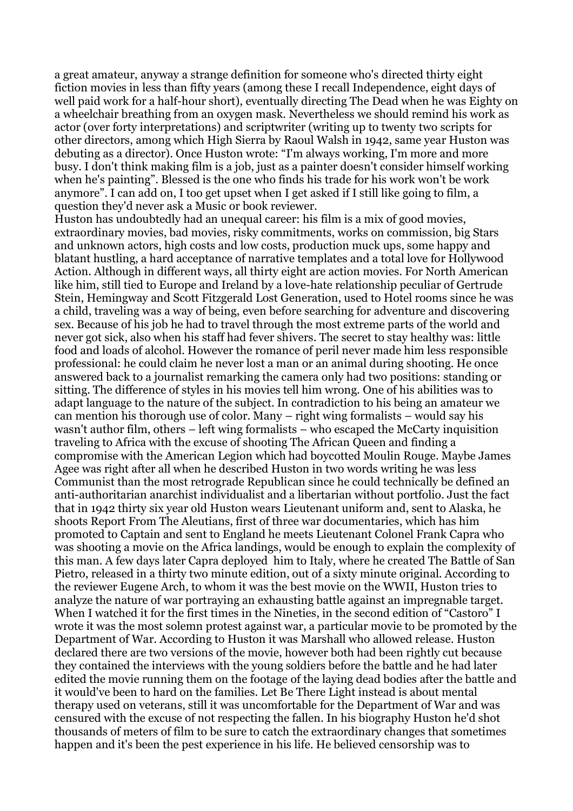a great amateur, anyway a strange definition for someone who's directed thirty eight fiction movies in less than fifty years (among these I recall Independence, eight days of well paid work for a half-hour short), eventually directing The Dead when he was Eighty on a wheelchair breathing from an oxygen mask. Nevertheless we should remind his work as actor (over forty interpretations) and scriptwriter (writing up to twenty two scripts for other directors, among which High Sierra by Raoul Walsh in 1942, same year Huston was debuting as a director). Once Huston wrote: "I'm always working, I'm more and more busy. I don't think making film is a job, just as a painter doesn't consider himself working when he's painting". Blessed is the one who finds his trade for his work won't be work anymore". I can add on, I too get upset when I get asked if I still like going to film, a question they'd never ask a Music or book reviewer.

Huston has undoubtedly had an unequal career: his film is a mix of good movies, extraordinary movies, bad movies, risky commitments, works on commission, big Stars and unknown actors, high costs and low costs, production muck ups, some happy and blatant hustling, a hard acceptance of narrative templates and a total love for Hollywood Action. Although in different ways, all thirty eight are action movies. For North American like him, still tied to Europe and Ireland by a love-hate relationship peculiar of Gertrude Stein, Hemingway and Scott Fitzgerald Lost Generation, used to Hotel rooms since he was a child, traveling was a way of being, even before searching for adventure and discovering sex. Because of his job he had to travel through the most extreme parts of the world and never got sick, also when his staff had fever shivers. The secret to stay healthy was: little food and loads of alcohol. However the romance of peril never made him less responsible professional: he could claim he never lost a man or an animal during shooting. He once answered back to a journalist remarking the camera only had two positions: standing or sitting. The difference of styles in his movies tell him wrong. One of his abilities was to adapt language to the nature of the subject. In contradiction to his being an amateur we can mention his thorough use of color. Many – right wing formalists – would say his wasn't author film, others – left wing formalists – who escaped the McCarty inquisition traveling to Africa with the excuse of shooting The African Queen and finding a compromise with the American Legion which had boycotted Moulin Rouge. Maybe James Agee was right after all when he described Huston in two words writing he was less Communist than the most retrograde Republican since he could technically be defined an anti-authoritarian anarchist individualist and a libertarian without portfolio. Just the fact that in 1942 thirty six year old Huston wears Lieutenant uniform and, sent to Alaska, he shoots Report From The Aleutians, first of three war documentaries, which has him promoted to Captain and sent to England he meets Lieutenant Colonel Frank Capra who was shooting a movie on the Africa landings, would be enough to explain the complexity of this man. A few days later Capra deployed him to Italy, where he created The Battle of San Pietro, released in a thirty two minute edition, out of a sixty minute original. According to the reviewer Eugene Arch, to whom it was the best movie on the WWII, Huston tries to analyze the nature of war portraying an exhausting battle against an impregnable target. When I watched it for the first times in the Nineties, in the second edition of "Castoro" I wrote it was the most solemn protest against war, a particular movie to be promoted by the Department of War. According to Huston it was Marshall who allowed release. Huston declared there are two versions of the movie, however both had been rightly cut because they contained the interviews with the young soldiers before the battle and he had later edited the movie running them on the footage of the laying dead bodies after the battle and it would've been to hard on the families. Let Be There Light instead is about mental therapy used on veterans, still it was uncomfortable for the Department of War and was censured with the excuse of not respecting the fallen. In his biography Huston he'd shot thousands of meters of film to be sure to catch the extraordinary changes that sometimes happen and it's been the pest experience in his life. He believed censorship was to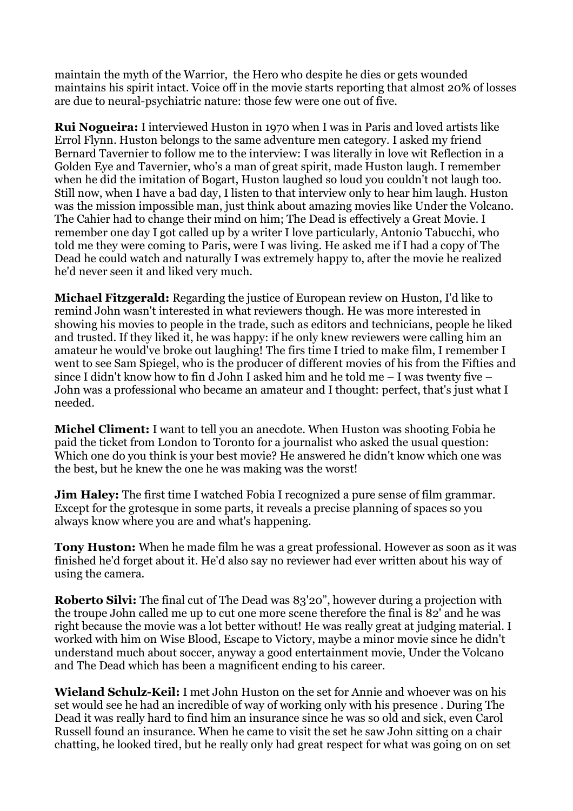maintain the myth of the Warrior, the Hero who despite he dies or gets wounded maintains his spirit intact. Voice off in the movie starts reporting that almost 20% of losses are due to neural-psychiatric nature: those few were one out of five.

**Rui Nogueira:** I interviewed Huston in 1970 when I was in Paris and loved artists like Errol Flynn. Huston belongs to the same adventure men category. I asked my friend Bernard Tavernier to follow me to the interview: I was literally in love wit Reflection in a Golden Eye and Tavernier, who's a man of great spirit, made Huston laugh. I remember when he did the imitation of Bogart, Huston laughed so loud you couldn't not laugh too. Still now, when I have a bad day, I listen to that interview only to hear him laugh. Huston was the mission impossible man, just think about amazing movies like Under the Volcano. The Cahier had to change their mind on him; The Dead is effectively a Great Movie. I remember one day I got called up by a writer I love particularly, Antonio Tabucchi, who told me they were coming to Paris, were I was living. He asked me if I had a copy of The Dead he could watch and naturally I was extremely happy to, after the movie he realized he'd never seen it and liked very much.

**Michael Fitzgerald:** Regarding the justice of European review on Huston, I'd like to remind John wasn't interested in what reviewers though. He was more interested in showing his movies to people in the trade, such as editors and technicians, people he liked and trusted. If they liked it, he was happy: if he only knew reviewers were calling him an amateur he would've broke out laughing! The firs time I tried to make film, I remember I went to see Sam Spiegel, who is the producer of different movies of his from the Fifties and since I didn't know how to fin d John I asked him and he told me – I was twenty five – John was a professional who became an amateur and I thought: perfect, that's just what I needed.

**Michel Climent:** I want to tell you an anecdote. When Huston was shooting Fobia he paid the ticket from London to Toronto for a journalist who asked the usual question: Which one do you think is your best movie? He answered he didn't know which one was the best, but he knew the one he was making was the worst!

**Jim Haley:** The first time I watched Fobia I recognized a pure sense of film grammar. Except for the grotesque in some parts, it reveals a precise planning of spaces so you always know where you are and what's happening.

**Tony Huston:** When he made film he was a great professional. However as soon as it was finished he'd forget about it. He'd also say no reviewer had ever written about his way of using the camera.

**Roberto Silvi:** The final cut of The Dead was 83'20", however during a projection with the troupe John called me up to cut one more scene therefore the final is 82' and he was right because the movie was a lot better without! He was really great at judging material. I worked with him on Wise Blood, Escape to Victory, maybe a minor movie since he didn't understand much about soccer, anyway a good entertainment movie, Under the Volcano and The Dead which has been a magnificent ending to his career.

**Wieland Schulz-Keil:** I met John Huston on the set for Annie and whoever was on his set would see he had an incredible of way of working only with his presence . During The Dead it was really hard to find him an insurance since he was so old and sick, even Carol Russell found an insurance. When he came to visit the set he saw John sitting on a chair chatting, he looked tired, but he really only had great respect for what was going on on set